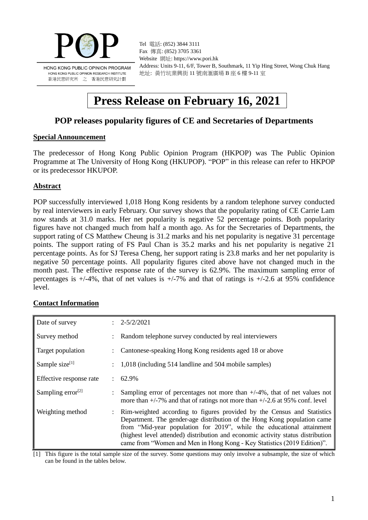

Tel 電話: (852) 3844 3111 Fax 傳真: (852) 3705 3361 Website 網址: https://www.pori.hk Address: Units 9-11, 6/F, Tower B, Southmark, 11 Yip Hing Street, Wong Chuk Hang 地址: 黃竹坑業興街 11 號南滙廣場 B 座 6 樓 9-11 室

# **Press Release on February 16, 2021**

# **POP releases popularity figures of CE and Secretaries of Departments**

#### **Special Announcement**

The predecessor of Hong Kong Public Opinion Program (HKPOP) was The Public Opinion Programme at The University of Hong Kong (HKUPOP). "POP" in this release can refer to HKPOP or its predecessor HKUPOP.

#### **Abstract**

POP successfully interviewed 1,018 Hong Kong residents by a random telephone survey conducted by real interviewers in early February. Our survey shows that the popularity rating of CE Carrie Lam now stands at 31.0 marks. Her net popularity is negative 52 percentage points. Both popularity figures have not changed much from half a month ago. As for the Secretaries of Departments, the support rating of CS Matthew Cheung is 31.2 marks and his net popularity is negative 31 percentage points. The support rating of FS Paul Chan is 35.2 marks and his net popularity is negative 21 percentage points. As for SJ Teresa Cheng, her support rating is 23.8 marks and her net popularity is negative 50 percentage points. All popularity figures cited above have not changed much in the month past. The effective response rate of the survey is 62.9%. The maximum sampling error of percentages is  $+/-4\%$ , that of net values is  $+/-7\%$  and that of ratings is  $+/-2.6$  at 95% confidence level.

#### **Contact Information**

| Date of survey                | $2 - 5/2/2021$                                                                                                                                                                                                                                                                                                                                                                             |
|-------------------------------|--------------------------------------------------------------------------------------------------------------------------------------------------------------------------------------------------------------------------------------------------------------------------------------------------------------------------------------------------------------------------------------------|
| Survey method                 | Random telephone survey conducted by real interviewers                                                                                                                                                                                                                                                                                                                                     |
| Target population             | Cantonese-speaking Hong Kong residents aged 18 or above                                                                                                                                                                                                                                                                                                                                    |
| Sample size $[1]$             | 1,018 (including 514 landline and 504 mobile samples)                                                                                                                                                                                                                                                                                                                                      |
| Effective response rate       | $\pm 62.9\%$                                                                                                                                                                                                                                                                                                                                                                               |
| Sampling error <sup>[2]</sup> | Sampling error of percentages not more than $+/-4\%$ , that of net values not<br>more than $+/-7\%$ and that of ratings not more than $+/-2.6$ at 95% conf. level                                                                                                                                                                                                                          |
| Weighting method              | Rim-weighted according to figures provided by the Census and Statistics<br>Department. The gender-age distribution of the Hong Kong population came<br>from "Mid-year population for 2019", while the educational attainment<br>(highest level attended) distribution and economic activity status distribution<br>came from "Women and Men in Hong Kong - Key Statistics (2019 Edition)". |

[1] This figure is the total sample size of the survey. Some questions may only involve a subsample, the size of which can be found in the tables below.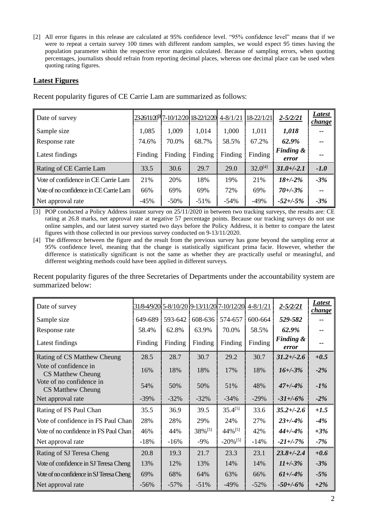[2] All error figures in this release are calculated at 95% confidence level. "95% confidence level" means that if we were to repeat a certain survey 100 times with different random samples, we would expect 95 times having the population parameter within the respective error margins calculated. Because of sampling errors, when quoting percentages, journalists should refrain from reporting decimal places, whereas one decimal place can be used when quoting rating figures.

## **Latest Figures**

| Date of survey                         |         |         | 23-26/11/20 <sup>3</sup> 7-10/12/20 18-22/12/20 4-8/1/21 |         | 18-22/1/21   | $2 - 5/2/21$                  | Latest<br><i>change</i> |
|----------------------------------------|---------|---------|----------------------------------------------------------|---------|--------------|-------------------------------|-------------------------|
| Sample size                            | 1,085   | 1,009   | 1,014                                                    | 1,000   | 1,011        | 1,018                         |                         |
| Response rate                          | 74.6%   | 70.0%   | 68.7%                                                    | 58.5%   | 67.2%        | 62.9%                         |                         |
| Latest findings                        | Finding | Finding | Finding                                                  | Finding | Finding      | <b>Finding &amp;</b><br>error |                         |
| Rating of CE Carrie Lam                | 33.5    | 30.6    | 29.7                                                     | 29.0    | $32.0^{[4]}$ | $31.0 + (-2.1)$               | $-1.0$                  |
| Vote of confidence in CE Carrie Lam    | 21%     | 20%     | 18%                                                      | 19%     | 21%          | $18 + -2\%$                   | $-3%$                   |
| Vote of no confidence in CE Carrie Lam | 66%     | 69%     | 69%                                                      | 72%     | 69%          | $70 + (-3)$ %                 | $\qquad \qquad -$       |
| Net approval rate                      | $-45%$  | $-50\%$ | $-51%$                                                   | $-54\%$ | $-49%$       | $-52 + (-5\%$                 | $-3%$                   |

Recent popularity figures of CE Carrie Lam are summarized as follows:

[3] POP conducted a Policy Address instant survey on 25/11/2020 in between two tracking surveys, the results are: CE rating at 26.8 marks, net approval rate at negative 57 percentage points. Because our tracking surveys do not use online samples, and our latest survey started two days before the Policy Address, it is better to compare the latest figures with those collected in our previous survey conducted on 9-13/11/2020.

[4] The difference between the figure and the result from the previous survey has gone beyond the sampling error at 95% confidence level, meaning that the change is statistically significant prima facie. However, whether the difference is statistically significant is not the same as whether they are practically useful or meaningful, and different weighting methods could have been applied in different surveys.

Recent popularity figures of the three Secretaries of Departments under the accountability system are summarized below:

| Date of survey                                |         |         |         | 31/8-4/9/20 5-8/10/20 9-13/11/20 7-10/12/20 | $4 - 8/1/21$ | $2 - 5/2/21$                  | Latest<br>change |
|-----------------------------------------------|---------|---------|---------|---------------------------------------------|--------------|-------------------------------|------------------|
| Sample size                                   | 649-689 | 593-642 | 608-636 | 574-657                                     | 600-664      | 529-582                       |                  |
| Response rate                                 | 58.4%   | 62.8%   | 63.9%   | 70.0%                                       | 58.5%        | 62.9%                         | --               |
| Latest findings                               | Finding | Finding | Finding | Finding                                     | Finding      | <b>Finding &amp;</b><br>error | --               |
| Rating of CS Matthew Cheung                   | 28.5    | 28.7    | 30.7    | 29.2                                        | 30.7         | $31.2 + (-2.6)$               | $+0.5$           |
| Vote of confidence in<br>CS Matthew Cheung    | 16%     | 18%     | 18%     | 17%                                         | 18%          | $16 + (-3%)$                  | $-2%$            |
| Vote of no confidence in<br>CS Matthew Cheung | 54%     | 50%     | 50%     | 51%                                         | 48%          | $47 + (-4)$                   | $-1\%$           |
| Net approval rate                             | $-39%$  | $-32%$  | $-32%$  | $-34%$                                      | $-29%$       | $-31 + (-6%)$                 | $-2%$            |
| Rating of FS Paul Chan                        | 35.5    | 36.9    | 39.5    | $35.4^{[5]}$                                | 33.6         | $35.2 + (-2.6)$               | $+1.5$           |
| Vote of confidence in FS Paul Chan            | 28%     | 28%     | 29%     | 24%                                         | 27%          | $23 + (-4%)$                  | $-4%$            |
| Vote of no confidence in FS Paul Chan         | 46%     | 44%     | 38% [5] | $44\%$ <sup>[5]</sup>                       | 42%          | $44 + (-4%)$                  | $+3%$            |
| Net approval rate                             | $-18%$  | $-16%$  | $-9%$   | $-20\%$ <sup>[5]</sup>                      | $-14%$       | $-21 + (-7%)$                 | $-7%$            |
| Rating of SJ Teresa Cheng                     | 20.8    | 19.3    | 21.7    | 23.3                                        | 23.1         | $23.8 + (-2.4)$               | $+0.6$           |
| Vote of confidence in SJ Teresa Cheng         | 13%     | 12%     | 13%     | 14%                                         | 14%          | $11 + (-3%)$                  | $-3%$            |
| Vote of no confidence in SJ Teresa Cheng      | 69%     | 68%     | 64%     | 63%                                         | 66%          | $61 + (-4%)$                  | $-5%$            |
| Net approval rate                             | $-56%$  | $-57\%$ | $-51%$  | $-49%$                                      | $-52%$       | $-50 + (-6\%$                 | $+2\%$           |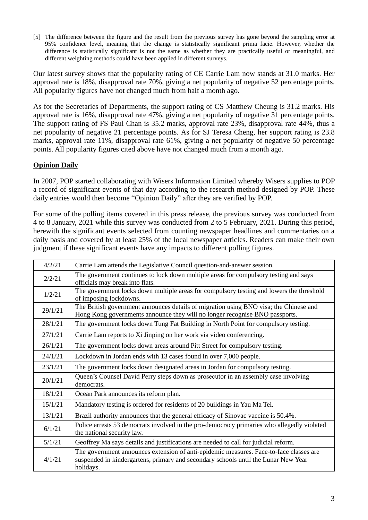[5] The difference between the figure and the result from the previous survey has gone beyond the sampling error at 95% confidence level, meaning that the change is statistically significant prima facie. However, whether the difference is statistically significant is not the same as whether they are practically useful or meaningful, and different weighting methods could have been applied in different surveys.

Our latest survey shows that the popularity rating of CE Carrie Lam now stands at 31.0 marks. Her approval rate is 18%, disapproval rate 70%, giving a net popularity of negative 52 percentage points. All popularity figures have not changed much from half a month ago.

As for the Secretaries of Departments, the support rating of CS Matthew Cheung is 31.2 marks. His approval rate is 16%, disapproval rate 47%, giving a net popularity of negative 31 percentage points. The support rating of FS Paul Chan is 35.2 marks, approval rate 23%, disapproval rate 44%, thus a net popularity of negative 21 percentage points. As for SJ Teresa Cheng, her support rating is 23.8 marks, approval rate 11%, disapproval rate 61%, giving a net popularity of negative 50 percentage points. All popularity figures cited above have not changed much from a month ago.

# **Opinion Daily**

In 2007, POP started collaborating with Wisers Information Limited whereby Wisers supplies to POP a record of significant events of that day according to the research method designed by POP. These daily entries would then become "Opinion Daily" after they are verified by POP.

For some of the polling items covered in this press release, the previous survey was conducted from 4 to 8 January, 2021 while this survey was conducted from 2 to 5 February, 2021. During this period, herewith the significant events selected from counting newspaper headlines and commentaries on a daily basis and covered by at least 25% of the local newspaper articles. Readers can make their own judgment if these significant events have any impacts to different polling figures.

| 4/2/21  | Carrie Lam attends the Legislative Council question-and-answer session.                                                                                                                   |
|---------|-------------------------------------------------------------------------------------------------------------------------------------------------------------------------------------------|
| 2/2/21  | The government continues to lock down multiple areas for compulsory testing and says<br>officials may break into flats.                                                                   |
| 1/2/21  | The government locks down multiple areas for compulsory testing and lowers the threshold<br>of imposing lockdowns.                                                                        |
| 29/1/21 | The British government announces details of migration using BNO visa; the Chinese and<br>Hong Kong governments announce they will no longer recognise BNO passports.                      |
| 28/1/21 | The government locks down Tung Fat Building in North Point for compulsory testing.                                                                                                        |
| 27/1/21 | Carrie Lam reports to Xi Jinping on her work via video conferencing.                                                                                                                      |
| 26/1/21 | The government locks down areas around Pitt Street for compulsory testing.                                                                                                                |
| 24/1/21 | Lockdown in Jordan ends with 13 cases found in over 7,000 people.                                                                                                                         |
| 23/1/21 | The government locks down designated areas in Jordan for compulsory testing.                                                                                                              |
| 20/1/21 | Queen's Counsel David Perry steps down as prosecutor in an assembly case involving<br>democrats.                                                                                          |
| 18/1/21 | Ocean Park announces its reform plan.                                                                                                                                                     |
| 15/1/21 | Mandatory testing is ordered for residents of 20 buildings in Yau Ma Tei.                                                                                                                 |
| 13/1/21 | Brazil authority announces that the general efficacy of Sinovac vaccine is 50.4%.                                                                                                         |
| 6/1/21  | Police arrests 53 democrats involved in the pro-democracy primaries who allegedly violated<br>the national security law.                                                                  |
| 5/1/21  | Geoffrey Ma says details and justifications are needed to call for judicial reform.                                                                                                       |
| 4/1/21  | The government announces extension of anti-epidemic measures. Face-to-face classes are<br>suspended in kindergartens, primary and secondary schools until the Lunar New Year<br>holidays. |